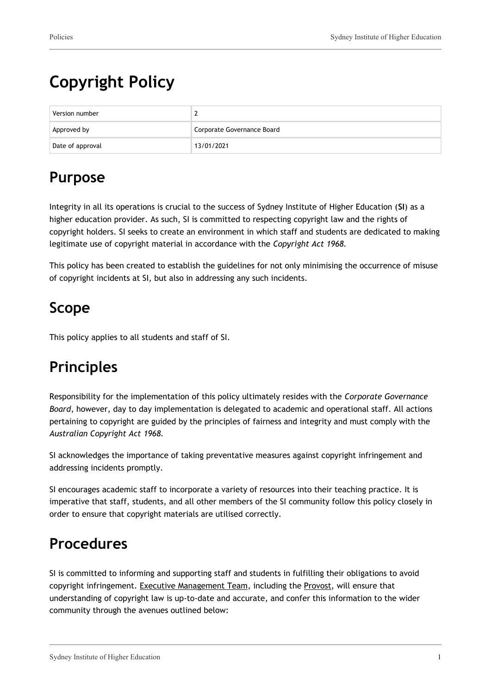# **Copyright Policy**

| Version number   |                            |
|------------------|----------------------------|
| Approved by      | Corporate Governance Board |
| Date of approval | 13/01/2021                 |

## **Purpose**

Integrity in all its operations is crucial to the success of Sydney Institute of Higher Education (**SI**) as a higher education provider. As such, SI is committed to respecting copyright law and the rights of copyright holders. SI seeks to create an environment in which staff and students are dedicated to making legitimate use of copyright material in accordance with the *Copyright Act 1968.*

This policy has been created to establish the guidelines for not only minimising the occurrence of misuse of copyright incidents at SI, but also in addressing any such incidents.

## **Scope**

This policy applies to all students and staff of SI.

## **Principles**

Responsibility for the implementation of this policy ultimately resides with the *Corporate Governance Board*, however, day to day implementation is delegated to academic and operational staff. All actions pertaining to copyright are guided by the principles of fairness and integrity and must comply with the *Australian Copyright Act 1968.*

SI acknowledges the importance of taking preventative measures against copyright infringement and addressing incidents promptly.

SI encourages academic staff to incorporate a variety of resources into their teaching practice. It is imperative that staff, students, and all other members of the SI community follow this policy closely in order to ensure that copyright materials are utilised correctly.

## **Procedures**

SI is committed to informing and supporting staff and students in fulfilling their obligations to avoid copyright infringement. Executive Management Team, including the Provost, will ensure that understanding of copyright law is up-to-date and accurate, and confer this information to the wider community through the avenues outlined below: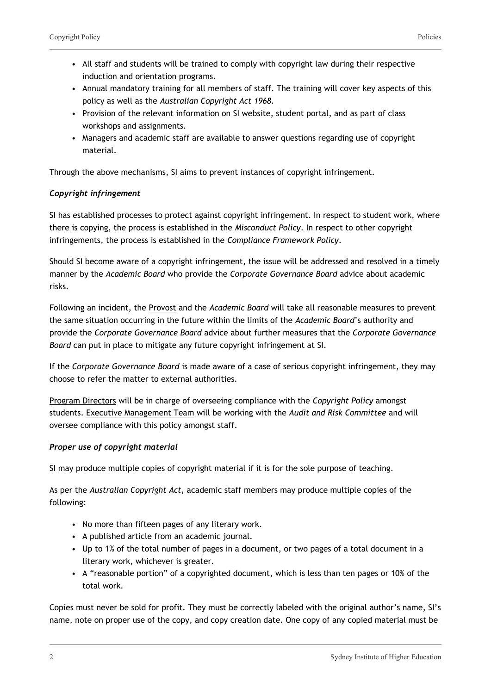- All staff and students will be trained to comply with copyright law during their respective induction and orientation programs.
- Annual mandatory training for all members of staff. The training will cover key aspects of this policy as well as the *Australian Copyright Act 1968.*
- Provision of the relevant information on SI website, student portal, and as part of class workshops and assignments.
- Managers and academic staff are available to answer questions regarding use of copyright material.

Through the above mechanisms, SI aims to prevent instances of copyright infringement.

#### *Copyright infringement*

SI has established processes to protect against copyright infringement. In respect to student work, where there is copying, the process is established in the *Misconduct Policy*. In respect to other copyright infringements, the process is established in the *Compliance Framework Policy*.

Should SI become aware of a copyright infringement, the issue will be addressed and resolved in a timely manner by the *Academic Board* who provide the *Corporate Governance Board* advice about academic risks.

Following an incident, the Provost and the *Academic Board* will take all reasonable measures to prevent the same situation occurring in the future within the limits of the *Academic Board*'s authority and provide the *Corporate Governance Board* advice about further measures that the *Corporate Governance Board* can put in place to mitigate any future copyright infringement at SI.

If the *Corporate Governance Board* is made aware of a case of serious copyright infringement, they may choose to refer the matter to external authorities.

Program Directors will be in charge of overseeing compliance with the *Copyright Policy* amongst students. Executive Management Team will be working with the *Audit and Risk Committee* and will oversee compliance with this policy amongst staff.

#### *Proper use of copyright material*

SI may produce multiple copies of copyright material if it is for the sole purpose of teaching.

As per the *Australian Copyright Act,* academic staff members may produce multiple copies of the following:

- No more than fifteen pages of any literary work.
- A published article from an academic journal.
- Up to 1% of the total number of pages in a document, or two pages of a total document in a literary work, whichever is greater.
- A "reasonable portion" of a copyrighted document, which is less than ten pages or 10% of the total work.

Copies must never be sold for profit. They must be correctly labeled with the original author's name, SI's name, note on proper use of the copy, and copy creation date. One copy of any copied material must be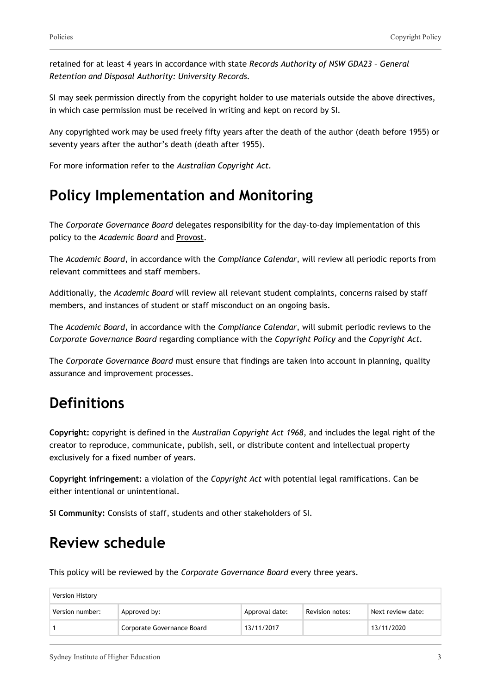retained for at least 4 years in accordance with state *Records Authority of NSW GDA23 – General Retention and Disposal Authority: University Records.*

SI may seek permission directly from the copyright holder to use materials outside the above directives, in which case permission must be received in writing and kept on record by SI.

Any copyrighted work may be used freely fifty years after the death of the author (death before 1955) or seventy years after the author's death (death after 1955).

For more information refer to the *Australian Copyright Act.*

### **Policy Implementation and Monitoring**

The *Corporate Governance Board* delegates responsibility for the day-to-day implementation of this policy to the *Academic Board* and Provost.

The *Academic Board*, in accordance with the *Compliance Calendar*, will review all periodic reports from relevant committees and staff members.

Additionally, the *Academic Board* will review all relevant student complaints, concerns raised by staff members, and instances of student or staff misconduct on an ongoing basis.

The *Academic Board*, in accordance with the *Compliance Calendar*, will submit periodic reviews to the *Corporate Governance Board* regarding compliance with the *Copyright Policy* and the *Copyright Act.*

The *Corporate Governance Board* must ensure that findings are taken into account in planning, quality assurance and improvement processes.

## **Definitions**

**Copyright:** copyright is defined in the *Australian Copyright Act 1968*, and includes the legal right of the creator to reproduce, communicate, publish, sell, or distribute content and intellectual property exclusively for a fixed number of years.

**Copyright infringement:** a violation of the *Copyright Act* with potential legal ramifications. Can be either intentional or unintentional.

**SI Community:** Consists of staff, students and other stakeholders of SI.

### **Review schedule**

This policy will be reviewed by the *Corporate Governance Board* every three years.

| Version History |                            |                |                 |                   |
|-----------------|----------------------------|----------------|-----------------|-------------------|
| Version number: | Approved by:               | Approval date: | Revision notes: | Next review date: |
|                 | Corporate Governance Board | 13/11/2017     |                 | 13/11/2020        |